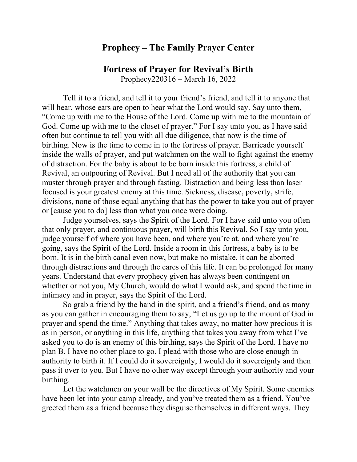## **Prophecy – The Family Prayer Center**

## **Fortress of Prayer for Revival's Birth**

Prophecy220316 – March 16, 2022

Tell it to a friend, and tell it to your friend's friend, and tell it to anyone that will hear, whose ears are open to hear what the Lord would say. Say unto them, "Come up with me to the House of the Lord. Come up with me to the mountain of God. Come up with me to the closet of prayer." For I say unto you, as I have said often but continue to tell you with all due diligence, that now is the time of birthing. Now is the time to come in to the fortress of prayer. Barricade yourself inside the walls of prayer, and put watchmen on the wall to fight against the enemy of distraction. For the baby is about to be born inside this fortress, a child of Revival, an outpouring of Revival. But I need all of the authority that you can muster through prayer and through fasting. Distraction and being less than laser focused is your greatest enemy at this time. Sickness, disease, poverty, strife, divisions, none of those equal anything that has the power to take you out of prayer or [cause you to do] less than what you once were doing.

Judge yourselves, says the Spirit of the Lord. For I have said unto you often that only prayer, and continuous prayer, will birth this Revival. So I say unto you, judge yourself of where you have been, and where you're at, and where you're going, says the Spirit of the Lord. Inside a room in this fortress, a baby is to be born. It is in the birth canal even now, but make no mistake, it can be aborted through distractions and through the cares of this life. It can be prolonged for many years. Understand that every prophecy given has always been contingent on whether or not you, My Church, would do what I would ask, and spend the time in intimacy and in prayer, says the Spirit of the Lord.

So grab a friend by the hand in the spirit, and a friend's friend, and as many as you can gather in encouraging them to say, "Let us go up to the mount of God in prayer and spend the time." Anything that takes away, no matter how precious it is as in person, or anything in this life, anything that takes you away from what I've asked you to do is an enemy of this birthing, says the Spirit of the Lord. I have no plan B. I have no other place to go. I plead with those who are close enough in authority to birth it. If I could do it sovereignly, I would do it sovereignly and then pass it over to you. But I have no other way except through your authority and your birthing.

Let the watchmen on your wall be the directives of My Spirit. Some enemies have been let into your camp already, and you've treated them as a friend. You've greeted them as a friend because they disguise themselves in different ways. They